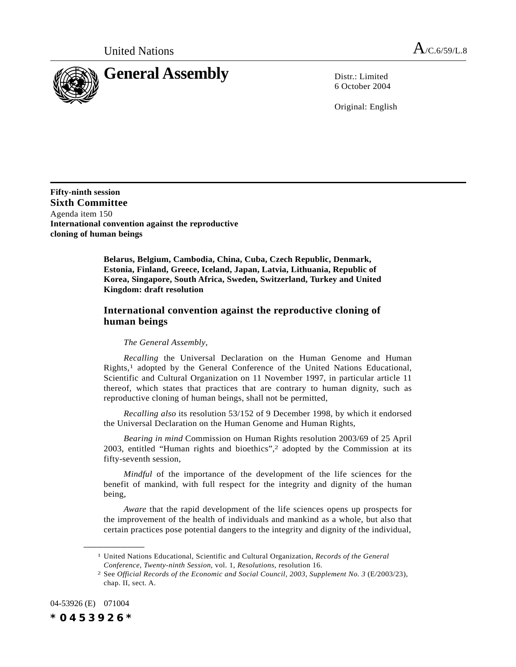United Nations  $A_{/C.6/59/L.8}$ 



6 October 2004

Original: English

**Fifty-ninth session Sixth Committee** Agenda item 150 **International convention against the reproductive cloning of human beings**

> **Belarus, Belgium, Cambodia, China, Cuba, Czech Republic, Denmark, Estonia, Finland, Greece, Iceland, Japan, Latvia, Lithuania, Republic of Korea, Singapore, South Africa, Sweden, Switzerland, Turkey and United Kingdom: draft resolution**

## **International convention against the reproductive cloning of human beings**

## *The General Assembly*,

*Recalling* the Universal Declaration on the Human Genome and Human Rights,1 adopted by the General Conference of the United Nations Educational, Scientific and Cultural Organization on 11 November 1997, in particular article 11 thereof, which states that practices that are contrary to human dignity, such as reproductive cloning of human beings, shall not be permitted,

*Recalling also* its resolution 53/152 of 9 December 1998, by which it endorsed the Universal Declaration on the Human Genome and Human Rights,

*Bearing in mind* Commission on Human Rights resolution 2003/69 of 25 April 2003, entitled "Human rights and bioethics",2 adopted by the Commission at its fifty-seventh session,

*Mindful* of the importance of the development of the life sciences for the benefit of mankind, with full respect for the integrity and dignity of the human being,

*Aware* that the rapid development of the life sciences opens up prospects for the improvement of the health of individuals and mankind as a whole, but also that certain practices pose potential dangers to the integrity and dignity of the individual,

04-53926 (E) 071004

**\_\_\_\_\_\_\_\_\_\_\_\_\_\_\_\_\_\_**

*\*0453926\**

<sup>1</sup> United Nations Educational, Scientific and Cultural Organization, *Records of the General Conference, Twenty-ninth Session*, vol. 1, *Resolutions*, resolution 16.

<sup>2</sup> See *Official Records of the Economic and Social Council, 2003, Supplement No. 3* (E/2003/23), chap. II, sect. A.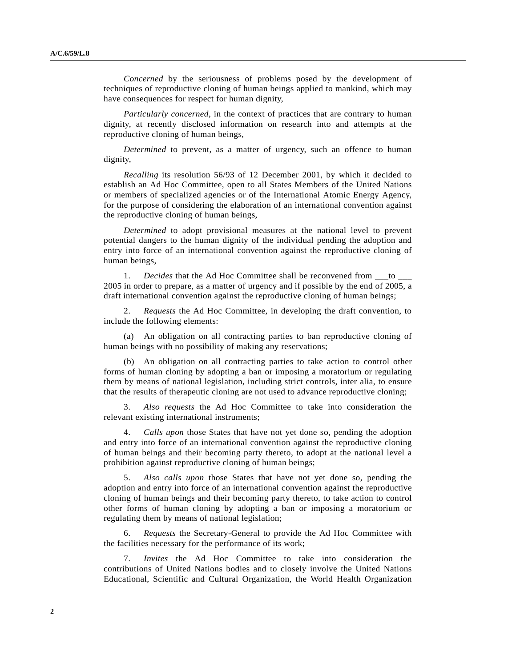*Concerned* by the seriousness of problems posed by the development of techniques of reproductive cloning of human beings applied to mankind, which may have consequences for respect for human dignity,

*Particularly concerned*, in the context of practices that are contrary to human dignity, at recently disclosed information on research into and attempts at the reproductive cloning of human beings,

*Determined* to prevent, as a matter of urgency, such an offence to human dignity,

*Recalling* its resolution 56/93 of 12 December 2001, by which it decided to establish an Ad Hoc Committee, open to all States Members of the United Nations or members of specialized agencies or of the International Atomic Energy Agency, for the purpose of considering the elaboration of an international convention against the reproductive cloning of human beings,

*Determined* to adopt provisional measures at the national level to prevent potential dangers to the human dignity of the individual pending the adoption and entry into force of an international convention against the reproductive cloning of human beings,

1. *Decides* that the Ad Hoc Committee shall be reconvened from  $\_\_$ to  $\_\_$ 2005 in order to prepare, as a matter of urgency and if possible by the end of 2005, a draft international convention against the reproductive cloning of human beings;

2. *Requests* the Ad Hoc Committee, in developing the draft convention, to include the following elements:

(a) An obligation on all contracting parties to ban reproductive cloning of human beings with no possibility of making any reservations;

(b) An obligation on all contracting parties to take action to control other forms of human cloning by adopting a ban or imposing a moratorium or regulating them by means of national legislation, including strict controls, inter alia, to ensure that the results of therapeutic cloning are not used to advance reproductive cloning;

3. *Also requests* the Ad Hoc Committee to take into consideration the relevant existing international instruments;

4. *Calls upon* those States that have not yet done so, pending the adoption and entry into force of an international convention against the reproductive cloning of human beings and their becoming party thereto, to adopt at the national level a prohibition against reproductive cloning of human beings;

5. *Also calls upon* those States that have not yet done so, pending the adoption and entry into force of an international convention against the reproductive cloning of human beings and their becoming party thereto, to take action to control other forms of human cloning by adopting a ban or imposing a moratorium or regulating them by means of national legislation;

6. *Requests* the Secretary-General to provide the Ad Hoc Committee with the facilities necessary for the performance of its work;

7. *Invites* the Ad Hoc Committee to take into consideration the contributions of United Nations bodies and to closely involve the United Nations Educational, Scientific and Cultural Organization, the World Health Organization